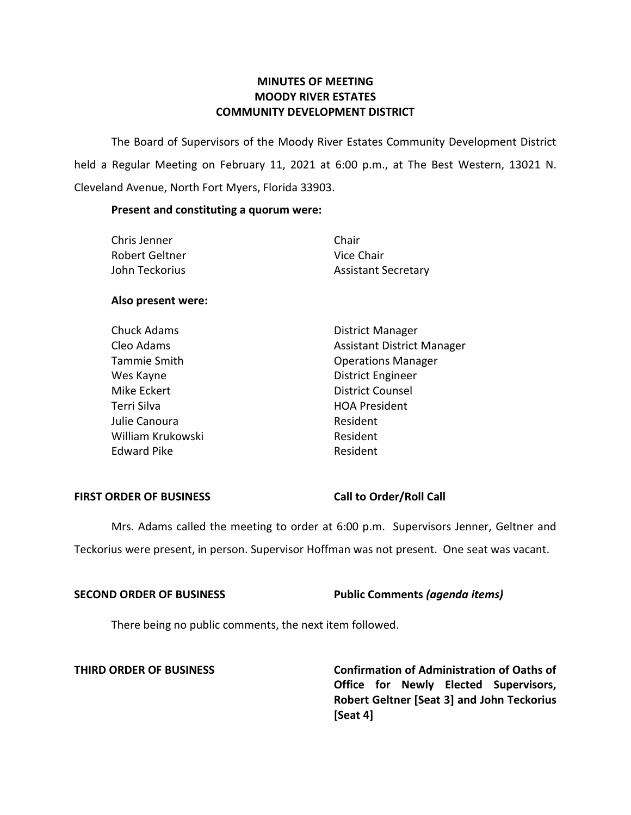# **MINUTES OF MEETING MOODY RIVER ESTATES COMMUNITY DEVELOPMENT DISTRICT**

The Board of Supervisors of the Moody River Estates Community Development District held a Regular Meeting on February 11, 2021 at 6:00 p.m., at The Best Western, 13021 N. Cleveland Avenue, North Fort Myers, Florida 33903.

## **Present and constituting a quorum were:**

| Chris Jenner   | Chair                      |
|----------------|----------------------------|
| Robert Geltner | Vice Chair                 |
| John Teckorius | <b>Assistant Secretary</b> |

# **Also present were:**

| <b>Chuck Adams</b> | <b>District Manager</b>           |
|--------------------|-----------------------------------|
| Cleo Adams         | <b>Assistant District Manager</b> |
| Tammie Smith       | <b>Operations Manager</b>         |
| Wes Kayne          | <b>District Engineer</b>          |
| Mike Eckert        | <b>District Counsel</b>           |
| Terri Silva        | <b>HOA President</b>              |
| Julie Canoura      | Resident                          |
| William Krukowski  | Resident                          |
| <b>Edward Pike</b> | Resident                          |

## **FIRST ORDER OF BUSINESS Call to Order/Roll Call**

Mrs. Adams called the meeting to order at 6:00 p.m. Supervisors Jenner, Geltner and Teckorius were present, in person. Supervisor Hoffman was not present. One seat was vacant.

# **SECOND ORDER OF BUSINESS Public Comments** *(agenda items)*

There being no public comments, the next item followed.

**THIRD ORDER OF BUSINESS Confirmation of Administration of Oaths of Office for Newly Elected Supervisors, Robert Geltner [Seat 3] and John Teckorius [Seat 4]**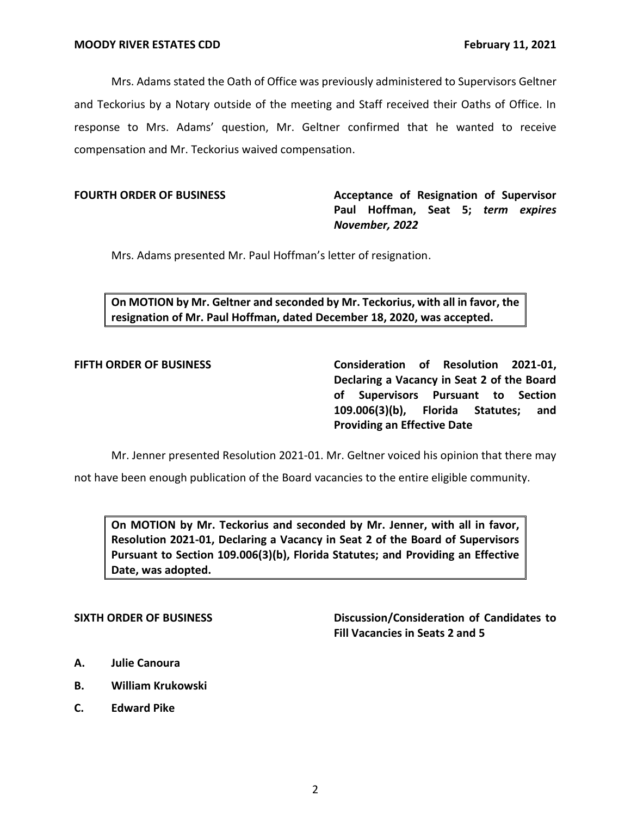Mrs. Adams stated the Oath of Office was previously administered to Supervisors Geltner and Teckorius by a Notary outside of the meeting and Staff received their Oaths of Office. In response to Mrs. Adams' question, Mr. Geltner confirmed that he wanted to receive compensation and Mr. Teckorius waived compensation.

**FOURTH ORDER OF BUSINESS Acceptance of Resignation of Supervisor Paul Hoffman, Seat 5;** *term expires November, 2022*

Mrs. Adams presented Mr. Paul Hoffman's letter of resignation.

**On MOTION by Mr. Geltner and seconded by Mr. Teckorius, with all in favor, the resignation of Mr. Paul Hoffman, dated December 18, 2020, was accepted.**

**FIFTH ORDER OF BUSINESS Consideration of Resolution 2021-01, Declaring a Vacancy in Seat 2 of the Board of Supervisors Pursuant to Section 109.006(3)(b), Florida Statutes; and Providing an Effective Date**

Mr. Jenner presented Resolution 2021-01. Mr. Geltner voiced his opinion that there may

not have been enough publication of the Board vacancies to the entire eligible community.

**On MOTION by Mr. Teckorius and seconded by Mr. Jenner, with all in favor, Resolution 2021-01, Declaring a Vacancy in Seat 2 of the Board of Supervisors Pursuant to Section 109.006(3)(b), Florida Statutes; and Providing an Effective Date, was adopted.**

**SIXTH ORDER OF BUSINESS Discussion/Consideration of Candidates to Fill Vacancies in Seats 2 and 5**

- **A. Julie Canoura**
- **B. William Krukowski**
- **C. Edward Pike**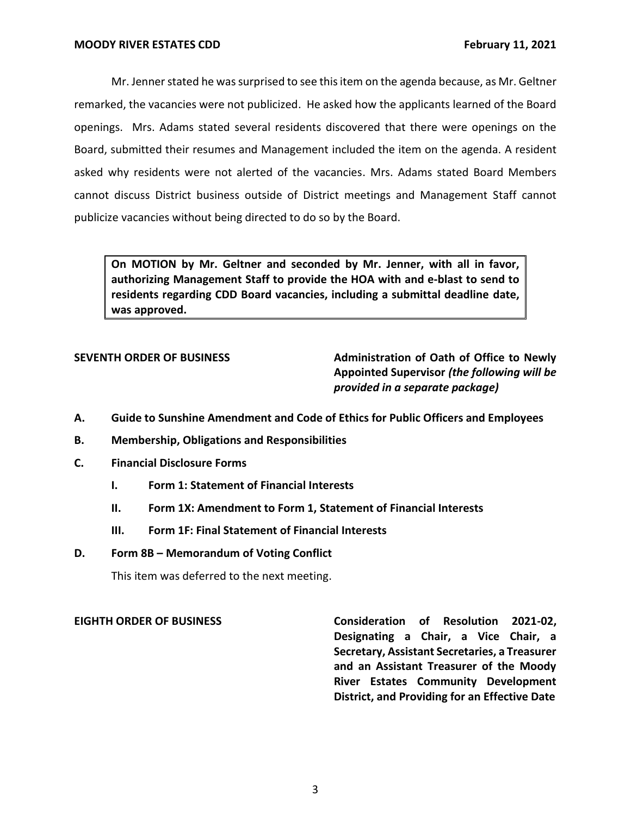Mr. Jenner stated he was surprised to see this item on the agenda because, as Mr. Geltner remarked, the vacancies were not publicized. He asked how the applicants learned of the Board openings. Mrs. Adams stated several residents discovered that there were openings on the Board, submitted their resumes and Management included the item on the agenda. A resident asked why residents were not alerted of the vacancies. Mrs. Adams stated Board Members cannot discuss District business outside of District meetings and Management Staff cannot publicize vacancies without being directed to do so by the Board.

**On MOTION by Mr. Geltner and seconded by Mr. Jenner, with all in favor, authorizing Management Staff to provide the HOA with and e-blast to send to residents regarding CDD Board vacancies, including a submittal deadline date, was approved.**

**SEVENTH ORDER OF BUSINESS Administration of Oath of Office to Newly Appointed Supervisor** *(the following will be provided in a separate package)*

- **A. Guide to Sunshine Amendment and Code of Ethics for Public Officers and Employees**
- **B. Membership, Obligations and Responsibilities**
- **C. Financial Disclosure Forms**
	- **I. Form 1: Statement of Financial Interests**
	- **II. Form 1X: Amendment to Form 1, Statement of Financial Interests**
	- **III. Form 1F: Final Statement of Financial Interests**
- **D. Form 8B – Memorandum of Voting Conflict**

This item was deferred to the next meeting.

**EIGHTH ORDER OF BUSINESS Consideration of Resolution 2021-02, Designating a Chair, a Vice Chair, a Secretary, Assistant Secretaries, a Treasurer and an Assistant Treasurer of the Moody River Estates Community Development District, and Providing for an Effective Date**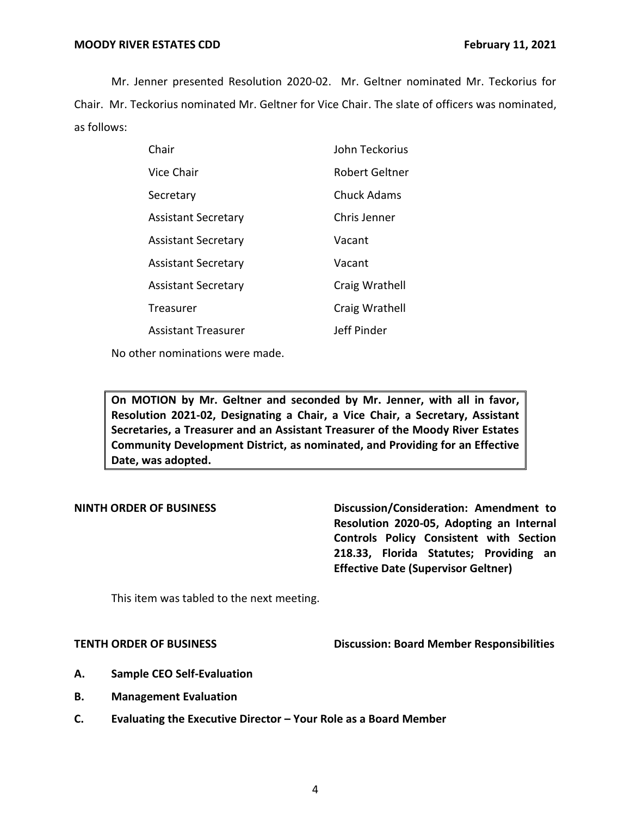Mr. Jenner presented Resolution 2020-02. Mr. Geltner nominated Mr. Teckorius for Chair. Mr. Teckorius nominated Mr. Geltner for Vice Chair. The slate of officers was nominated, as follows:

| Chair                      | John Teckorius     |
|----------------------------|--------------------|
| Vice Chair                 | Robert Geltner     |
| Secretary                  | <b>Chuck Adams</b> |
| <b>Assistant Secretary</b> | Chris Jenner       |
| <b>Assistant Secretary</b> | Vacant             |
| <b>Assistant Secretary</b> | Vacant             |
| <b>Assistant Secretary</b> | Craig Wrathell     |
| Treasurer                  | Craig Wrathell     |
| <b>Assistant Treasurer</b> | Jeff Pinder        |
|                            |                    |

No other nominations were made.

**On MOTION by Mr. Geltner and seconded by Mr. Jenner, with all in favor, Resolution 2021-02, Designating a Chair, a Vice Chair, a Secretary, Assistant Secretaries, a Treasurer and an Assistant Treasurer of the Moody River Estates Community Development District, as nominated, and Providing for an Effective Date, was adopted.**

**NINTH ORDER OF BUSINESS Discussion/Consideration: Amendment to Resolution 2020-05, Adopting an Internal Controls Policy Consistent with Section 218.33, Florida Statutes; Providing an Effective Date (Supervisor Geltner)**

This item was tabled to the next meeting.

**TENTH ORDER OF BUSINESS Discussion: Board Member Responsibilities** 

- **A. Sample CEO Self-Evaluation**
- **B. Management Evaluation**
- **C. Evaluating the Executive Director – Your Role as a Board Member**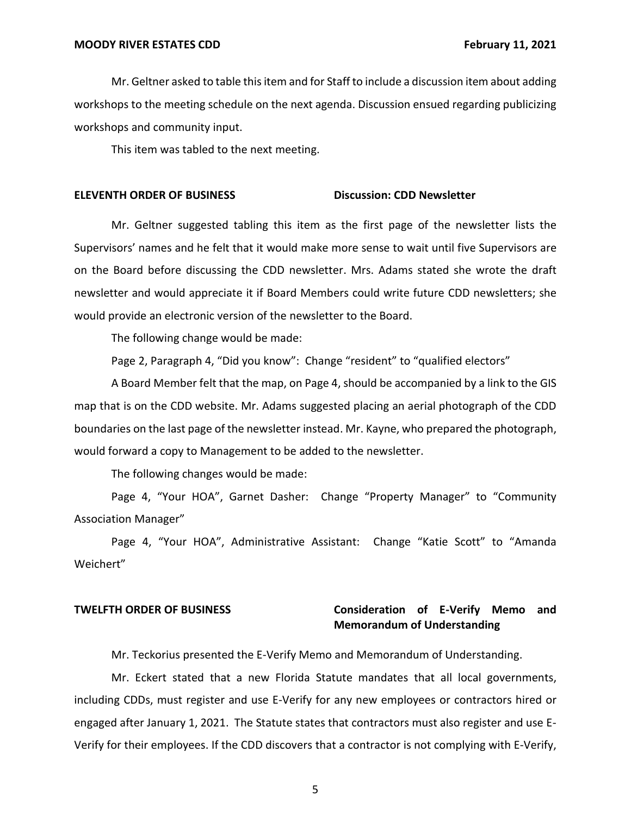Mr. Geltner asked to table this item and for Staff to include a discussion item about adding workshops to the meeting schedule on the next agenda. Discussion ensued regarding publicizing workshops and community input.

This item was tabled to the next meeting.

### **ELEVENTH ORDER OF BUSINESS Discussion: CDD Newsletter**

Mr. Geltner suggested tabling this item as the first page of the newsletter lists the Supervisors' names and he felt that it would make more sense to wait until five Supervisors are on the Board before discussing the CDD newsletter. Mrs. Adams stated she wrote the draft newsletter and would appreciate it if Board Members could write future CDD newsletters; she would provide an electronic version of the newsletter to the Board.

The following change would be made:

Page 2, Paragraph 4, "Did you know": Change "resident" to "qualified electors"

A Board Member felt that the map, on Page 4, should be accompanied by a link to the GIS map that is on the CDD website. Mr. Adams suggested placing an aerial photograph of the CDD boundaries on the last page of the newsletter instead. Mr. Kayne, who prepared the photograph, would forward a copy to Management to be added to the newsletter.

The following changes would be made:

Page 4, "Your HOA", Garnet Dasher: Change "Property Manager" to "Community Association Manager"

Page 4, "Your HOA", Administrative Assistant: Change "Katie Scott" to "Amanda Weichert"

# **TWELFTH ORDER OF BUSINESS Consideration of E-Verify Memo and Memorandum of Understanding**

Mr. Teckorius presented the E-Verify Memo and Memorandum of Understanding.

Mr. Eckert stated that a new Florida Statute mandates that all local governments, including CDDs, must register and use E-Verify for any new employees or contractors hired or engaged after January 1, 2021. The Statute states that contractors must also register and use E-Verify for their employees. If the CDD discovers that a contractor is not complying with E-Verify,

5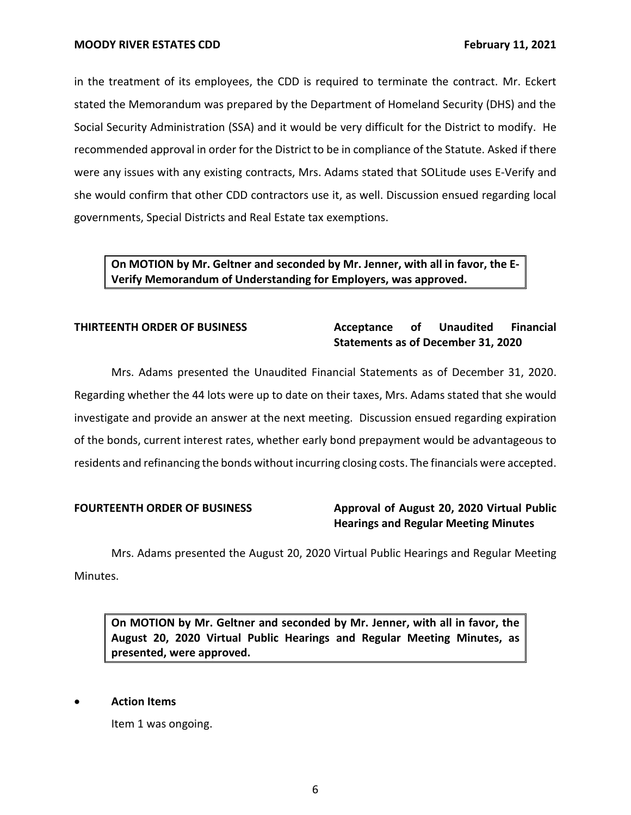in the treatment of its employees, the CDD is required to terminate the contract. Mr. Eckert stated the Memorandum was prepared by the Department of Homeland Security (DHS) and the Social Security Administration (SSA) and it would be very difficult for the District to modify. He recommended approval in order for the District to be in compliance of the Statute. Asked if there were any issues with any existing contracts, Mrs. Adams stated that SOLitude uses E-Verify and she would confirm that other CDD contractors use it, as well. Discussion ensued regarding local governments, Special Districts and Real Estate tax exemptions.

# **On MOTION by Mr. Geltner and seconded by Mr. Jenner, with all in favor, the E-Verify Memorandum of Understanding for Employers, was approved.**

# **THIRTEENTH ORDER OF BUSINESS Acceptance of Unaudited Financial Statements as of December 31, 2020**

Mrs. Adams presented the Unaudited Financial Statements as of December 31, 2020. Regarding whether the 44 lots were up to date on their taxes, Mrs. Adams stated that she would investigate and provide an answer at the next meeting. Discussion ensued regarding expiration of the bonds, current interest rates, whether early bond prepayment would be advantageous to residents and refinancing the bonds without incurring closing costs. The financials were accepted.

# **FOURTEENTH ORDER OF BUSINESS Approval of August 20, 2020 Virtual Public Hearings and Regular Meeting Minutes**

Mrs. Adams presented the August 20, 2020 Virtual Public Hearings and Regular Meeting Minutes.

**On MOTION by Mr. Geltner and seconded by Mr. Jenner, with all in favor, the August 20, 2020 Virtual Public Hearings and Regular Meeting Minutes, as presented, were approved.** 

## • **Action Items**

Item 1 was ongoing.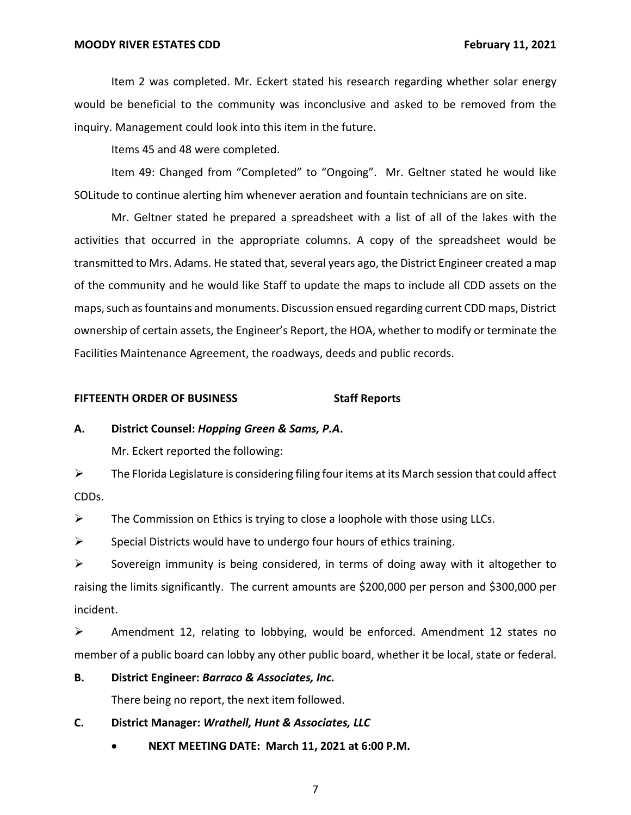Item 2 was completed. Mr. Eckert stated his research regarding whether solar energy would be beneficial to the community was inconclusive and asked to be removed from the inquiry. Management could look into this item in the future.

Items 45 and 48 were completed.

Item 49: Changed from "Completed" to "Ongoing". Mr. Geltner stated he would like SOLitude to continue alerting him whenever aeration and fountain technicians are on site.

Mr. Geltner stated he prepared a spreadsheet with a list of all of the lakes with the activities that occurred in the appropriate columns. A copy of the spreadsheet would be transmitted to Mrs. Adams. He stated that, several years ago, the District Engineer created a map of the community and he would like Staff to update the maps to include all CDD assets on the maps, such as fountains and monuments. Discussion ensued regarding current CDD maps, District ownership of certain assets, the Engineer's Report, the HOA, whether to modify or terminate the Facilities Maintenance Agreement, the roadways, deeds and public records.

## **FIFTEENTH ORDER OF BUSINESS Staff Reports**

## **A. District Counsel:** *Hopping Green & Sams, P.A***.**

Mr. Eckert reported the following:

 $\triangleright$  The Florida Legislature is considering filing four items at its March session that could affect CDDs.

 $\triangleright$  The Commission on Ethics is trying to close a loophole with those using LLCs.

 $\triangleright$  Special Districts would have to undergo four hours of ethics training.

➢ Sovereign immunity is being considered, in terms of doing away with it altogether to raising the limits significantly. The current amounts are \$200,000 per person and \$300,000 per incident.

 $\triangleright$  Amendment 12, relating to lobbying, would be enforced. Amendment 12 states no member of a public board can lobby any other public board, whether it be local, state or federal.

### **B. District Engineer:** *Barraco & Associates, Inc.*

There being no report, the next item followed.

**C. District Manager:** *Wrathell, Hunt & Associates, LLC*

• **NEXT MEETING DATE: March 11, 2021 at 6:00 P.M.**

7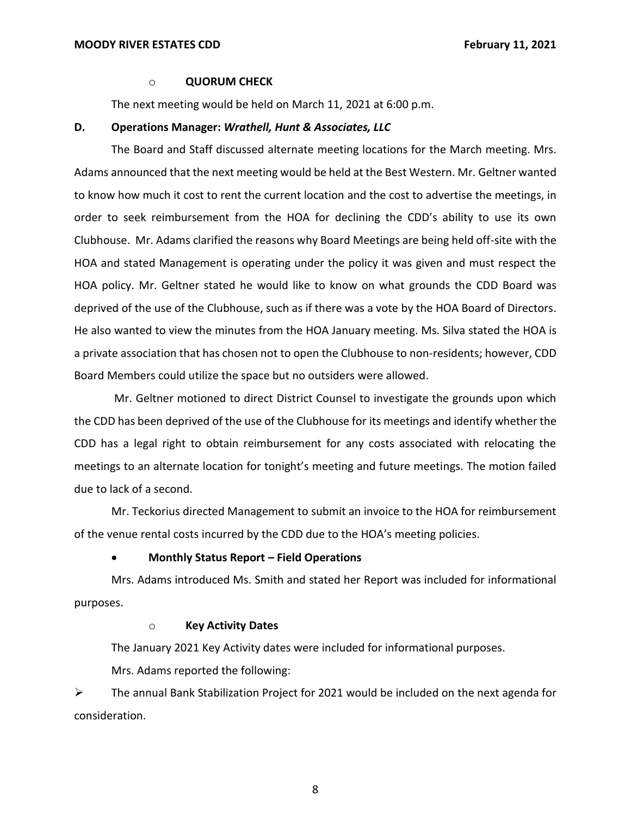### o **QUORUM CHECK**

The next meeting would be held on March 11, 2021 at 6:00 p.m.

### **D. Operations Manager:** *Wrathell, Hunt & Associates, LLC*

The Board and Staff discussed alternate meeting locations for the March meeting. Mrs. Adams announced that the next meeting would be held at the Best Western. Mr. Geltner wanted to know how much it cost to rent the current location and the cost to advertise the meetings, in order to seek reimbursement from the HOA for declining the CDD's ability to use its own Clubhouse. Mr. Adams clarified the reasons why Board Meetings are being held off-site with the HOA and stated Management is operating under the policy it was given and must respect the HOA policy. Mr. Geltner stated he would like to know on what grounds the CDD Board was deprived of the use of the Clubhouse, such as if there was a vote by the HOA Board of Directors. He also wanted to view the minutes from the HOA January meeting. Ms. Silva stated the HOA is a private association that has chosen not to open the Clubhouse to non-residents; however, CDD Board Members could utilize the space but no outsiders were allowed.

Mr. Geltner motioned to direct District Counsel to investigate the grounds upon which the CDD has been deprived of the use of the Clubhouse for its meetings and identify whether the CDD has a legal right to obtain reimbursement for any costs associated with relocating the meetings to an alternate location for tonight's meeting and future meetings. The motion failed due to lack of a second.

Mr. Teckorius directed Management to submit an invoice to the HOA for reimbursement of the venue rental costs incurred by the CDD due to the HOA's meeting policies.

### • **Monthly Status Report – Field Operations**

Mrs. Adams introduced Ms. Smith and stated her Report was included for informational purposes.

## o **Key Activity Dates**

The January 2021 Key Activity dates were included for informational purposes.

Mrs. Adams reported the following:

 $\triangleright$  The annual Bank Stabilization Project for 2021 would be included on the next agenda for consideration.

8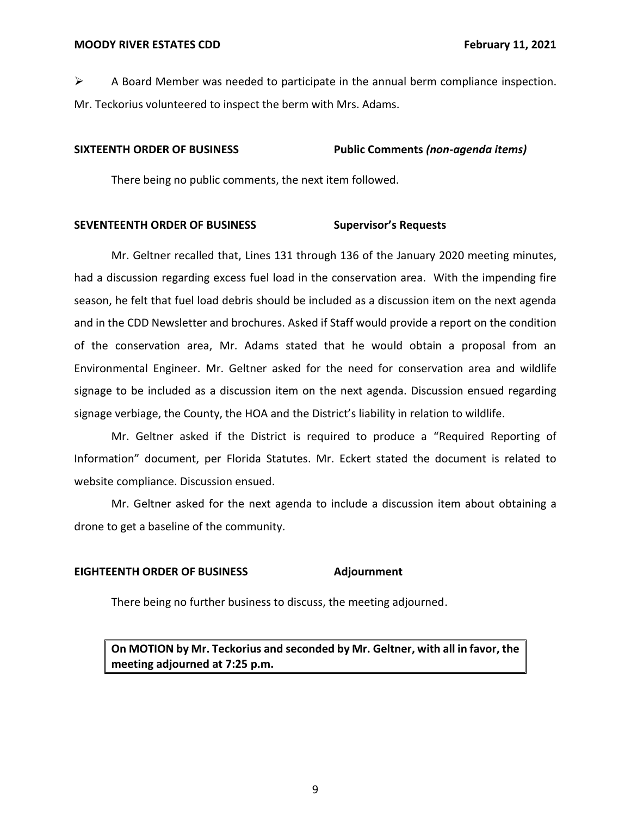$\triangleright$  A Board Member was needed to participate in the annual berm compliance inspection. Mr. Teckorius volunteered to inspect the berm with Mrs. Adams.

## **SIXTEENTH ORDER OF BUSINESS Public Comments** *(non-agenda items)*

There being no public comments, the next item followed.

## **SEVENTEENTH ORDER OF BUSINESS Supervisor's Requests**

Mr. Geltner recalled that, Lines 131 through 136 of the January 2020 meeting minutes, had a discussion regarding excess fuel load in the conservation area. With the impending fire season, he felt that fuel load debris should be included as a discussion item on the next agenda and in the CDD Newsletter and brochures. Asked if Staff would provide a report on the condition of the conservation area, Mr. Adams stated that he would obtain a proposal from an Environmental Engineer. Mr. Geltner asked for the need for conservation area and wildlife signage to be included as a discussion item on the next agenda. Discussion ensued regarding signage verbiage, the County, the HOA and the District's liability in relation to wildlife.

Mr. Geltner asked if the District is required to produce a "Required Reporting of Information" document, per Florida Statutes. Mr. Eckert stated the document is related to website compliance. Discussion ensued.

Mr. Geltner asked for the next agenda to include a discussion item about obtaining a drone to get a baseline of the community.

## **EIGHTEENTH ORDER OF BUSINESS Adjournment**

There being no further business to discuss, the meeting adjourned.

**On MOTION by Mr. Teckorius and seconded by Mr. Geltner, with all in favor, the meeting adjourned at 7:25 p.m.**